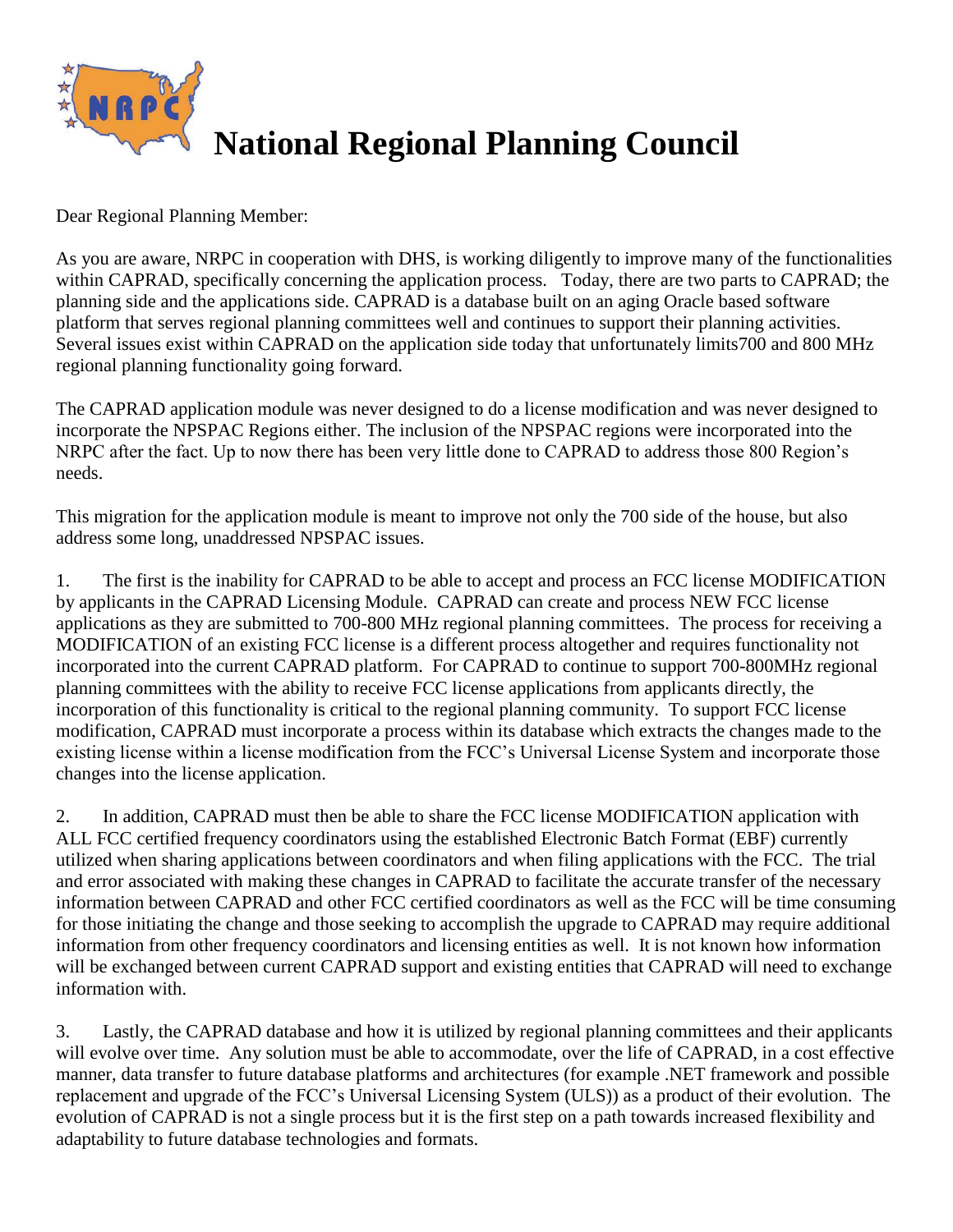

Dear Regional Planning Member:

As you are aware, NRPC in cooperation with DHS, is working diligently to improve many of the functionalities within CAPRAD, specifically concerning the application process. Today, there are two parts to CAPRAD; the planning side and the applications side. CAPRAD is a database built on an aging Oracle based software platform that serves regional planning committees well and continues to support their planning activities. Several issues exist within CAPRAD on the application side today that unfortunately limits700 and 800 MHz regional planning functionality going forward.

The CAPRAD application module was never designed to do a license modification and was never designed to incorporate the NPSPAC Regions either. The inclusion of the NPSPAC regions were incorporated into the NRPC after the fact. Up to now there has been very little done to CAPRAD to address those 800 Region's needs.

This migration for the application module is meant to improve not only the 700 side of the house, but also address some long, unaddressed NPSPAC issues.

1. The first is the inability for CAPRAD to be able to accept and process an FCC license MODIFICATION by applicants in the CAPRAD Licensing Module. CAPRAD can create and process NEW FCC license applications as they are submitted to 700-800 MHz regional planning committees. The process for receiving a MODIFICATION of an existing FCC license is a different process altogether and requires functionality not incorporated into the current CAPRAD platform. For CAPRAD to continue to support 700-800MHz regional planning committees with the ability to receive FCC license applications from applicants directly, the incorporation of this functionality is critical to the regional planning community. To support FCC license modification, CAPRAD must incorporate a process within its database which extracts the changes made to the existing license within a license modification from the FCC's Universal License System and incorporate those changes into the license application.

2. In addition, CAPRAD must then be able to share the FCC license MODIFICATION application with ALL FCC certified frequency coordinators using the established Electronic Batch Format (EBF) currently utilized when sharing applications between coordinators and when filing applications with the FCC. The trial and error associated with making these changes in CAPRAD to facilitate the accurate transfer of the necessary information between CAPRAD and other FCC certified coordinators as well as the FCC will be time consuming for those initiating the change and those seeking to accomplish the upgrade to CAPRAD may require additional information from other frequency coordinators and licensing entities as well. It is not known how information will be exchanged between current CAPRAD support and existing entities that CAPRAD will need to exchange information with.

3. Lastly, the CAPRAD database and how it is utilized by regional planning committees and their applicants will evolve over time. Any solution must be able to accommodate, over the life of CAPRAD, in a cost effective manner, data transfer to future database platforms and architectures (for example .NET framework and possible replacement and upgrade of the FCC's Universal Licensing System (ULS)) as a product of their evolution. The evolution of CAPRAD is not a single process but it is the first step on a path towards increased flexibility and adaptability to future database technologies and formats.